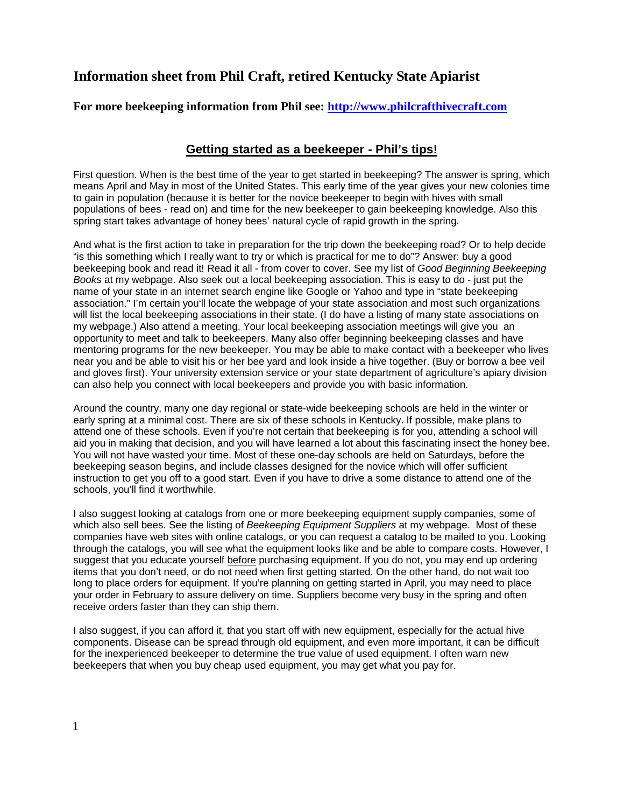## **Information sheet from Phil Craft, retired Kentucky State Apiarist**

## **For more beekeeping information from Phil see: <http://www.philcrafthivecraft.com>**

## **Getting started as a beekeeper - Phil's tips!**

First question. When is the best time of the year to get started in beekeeping? The answer is spring, which means April and May in most of the United States. This early time of the year gives your new colonies time to gain in population (because it is better for the novice beekeeper to begin with hives with small populations of bees - read on) and time for the new beekeeper to gain beekeeping knowledge. Also this spring start takes advantage of honey bees' natural cycle of rapid growth in the spring.

And what is the first action to take in preparation for the trip down the beekeeping road? Or to help decide "is this something which I really want to try or which is practical for me to do"? Answer: buy a good beekeeping book and read it! Read it all - from cover to cover. See my list of *Good Beginning Beekeeping Books* at my webpage. Also seek out a local beekeeping association. This is easy to do - just put the name of your state in an internet search engine like Google or Yahoo and type in "state beekeeping association." I'm certain you'll locate the webpage of your state association and most such organizations will list the local beekeeping associations in their state. (I do have a listing of many state associations on my webpage.) Also attend a meeting. Your local beekeeping association meetings will give you an opportunity to meet and talk to beekeepers. Many also offer beginning beekeeping classes and have mentoring programs for the new beekeeper. You may be able to make contact with a beekeeper who lives near you and be able to visit his or her bee yard and look inside a hive together. (Buy or borrow a bee veil and gloves first). Your university extension service or your state department of agriculture's apiary division can also help you connect with local beekeepers and provide you with basic information.

Around the country, many one day regional or state-wide beekeeping schools are held in the winter or early spring at a minimal cost. There are six of these schools in Kentucky. If possible, make plans to attend one of these schools. Even if you're not certain that beekeeping is for you, attending a school will aid you in making that decision, and you will have learned a lot about this fascinating insect the honey bee. You will not have wasted your time. Most of these one-day schools are held on Saturdays, before the beekeeping season begins, and include classes designed for the novice which will offer sufficient instruction to get you off to a good start. Even if you have to drive a some distance to attend one of the schools, you'll find it worthwhile.

I also suggest looking at catalogs from one or more beekeeping equipment supply companies, some of which also sell bees. See the listing of *Beekeeping Equipment Suppliers* at my webpage. Most of these companies have web sites with online catalogs, or you can request a catalog to be mailed to you. Looking through the catalogs, you will see what the equipment looks like and be able to compare costs. However, I suggest that you educate yourself before purchasing equipment. If you do not, you may end up ordering items that you don't need, or do not need when first getting started. On the other hand, do not wait too long to place orders for equipment. If you're planning on getting started in April, you may need to place your order in February to assure delivery on time. Suppliers become very busy in the spring and often receive orders faster than they can ship them.

I also suggest, if you can afford it, that you start off with new equipment, especially for the actual hive components. Disease can be spread through old equipment, and even more important, it can be difficult for the inexperienced beekeeper to determine the true value of used equipment. I often warn new beekeepers that when you buy cheap used equipment, you may get what you pay for.